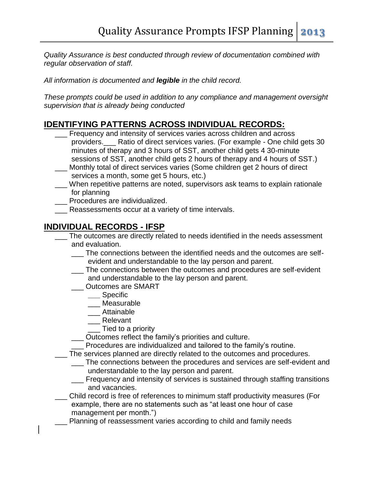*Quality Assurance is best conducted through review of documentation combined with regular observation of staff.* 

*All information is documented and legible in the child record.* 

*These prompts could be used in addition to any compliance and management oversight supervision that is already being conducted*

## **IDENTIFYING PATTERNS ACROSS INDIVIDUAL RECORDS:**

- Frequency and intensity of services varies across children and across providers.\_\_\_ Ratio of direct services varies. (For example - One child gets 30 minutes of therapy and 3 hours of SST, another child gets 4 30-minute sessions of SST, another child gets 2 hours of therapy and 4 hours of SST.)
- Monthly total of direct services varies (Some children get 2 hours of direct services a month, some get 5 hours, etc.)
- \_\_\_ When repetitive patterns are noted, supervisors ask teams to explain rationale for planning
- Procedures are individualized.
- Reassessments occur at a variety of time intervals.

## **INDIVIDUAL RECORDS - IFSP**

- The outcomes are directly related to needs identified in the needs assessment and evaluation.
	- The connections between the identified needs and the outcomes are selfevident and understandable to the lay person and parent.
	- The connections between the outcomes and procedures are self-evident and understandable to the lay person and parent.
	- \_\_\_ Outcomes are SMART
		- **\_\_\_** Specific
		- \_\_\_ Measurable
		- \_\_\_ Attainable
		- \_\_\_ Relevant
		- \_\_\_ Tied to a priority
	- \_\_\_ Outcomes reflect the family's priorities and culture.
	- \_\_\_ Procedures are individualized and tailored to the family's routine.
- The services planned are directly related to the outcomes and procedures.
	- \_\_\_ The connections between the procedures and services are self-evident and understandable to the lay person and parent.
	- \_\_\_ Frequency and intensity of services is sustained through staffing transitions and vacancies.
- \_\_\_ Child record is free of references to minimum staff productivity measures (For example, there are no statements such as "at least one hour of case management per month.")
- Planning of reassessment varies according to child and family needs